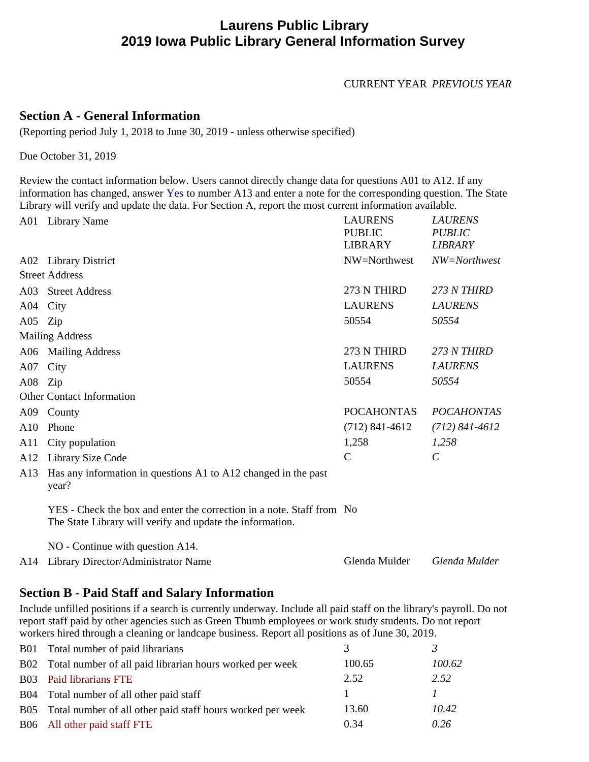## **Laurens Public Library 2019 Iowa Public Library General Information Survey**

CURRENT YEAR *PREVIOUS YEAR*

### **Section A - General Information**

(Reporting period July 1, 2018 to June 30, 2019 - unless otherwise specified)

Due October 31, 2019

Review the contact information below. Users cannot directly change data for questions A01 to A12. If any information has changed, answer Yes to number A13 and enter a note for the corresponding question. The State Library will verify and update the data. For Section A, report the most current information available.

|          | A01 Library Name                                                                                                                   | <b>LAURENS</b><br><b>PUBLIC</b><br><b>LIBRARY</b> | <b>LAURENS</b><br><b>PUBLIC</b><br><b>LIBRARY</b> |
|----------|------------------------------------------------------------------------------------------------------------------------------------|---------------------------------------------------|---------------------------------------------------|
|          | A02 Library District                                                                                                               | NW=Northwest                                      | NW=Northwest                                      |
|          | <b>Street Address</b>                                                                                                              |                                                   |                                                   |
|          | A03 Street Address                                                                                                                 | 273 N THIRD                                       | 273 N THIRD                                       |
| A04 City |                                                                                                                                    | <b>LAURENS</b>                                    | <b>LAURENS</b>                                    |
| A05 Zip  |                                                                                                                                    | 50554                                             | 50554                                             |
|          | <b>Mailing Address</b>                                                                                                             |                                                   |                                                   |
|          | A06 Mailing Address                                                                                                                | 273 N THIRD                                       | 273 N THIRD                                       |
| A07      | City                                                                                                                               | <b>LAURENS</b>                                    | <b>LAURENS</b>                                    |
| A08 Zip  |                                                                                                                                    | 50554                                             | 50554                                             |
|          | <b>Other Contact Information</b>                                                                                                   |                                                   |                                                   |
|          | A09 County                                                                                                                         | <b>POCAHONTAS</b>                                 | <b>POCAHONTAS</b>                                 |
| A10      | Phone                                                                                                                              | $(712)$ 841-4612                                  | $(712) 841 - 4612$                                |
| A11      | City population                                                                                                                    | 1,258                                             | 1,258                                             |
| A12      | Library Size Code                                                                                                                  | $\mathcal{C}$                                     | $\mathcal{C}$                                     |
| A13      | Has any information in questions A1 to A12 changed in the past<br>year?                                                            |                                                   |                                                   |
|          | YES - Check the box and enter the correction in a note. Staff from No<br>The State Library will verify and update the information. |                                                   |                                                   |
|          | $NO$ - Continue with question A14.                                                                                                 |                                                   |                                                   |
| A14      | Library Director/Administrator Name                                                                                                | Glenda Mulder                                     | Glenda Mulder                                     |

## **Section B - Paid Staff and Salary Information**

Include unfilled positions if a search is currently underway. Include all paid staff on the library's payroll. Do not report staff paid by other agencies such as Green Thumb employees or work study students. Do not report workers hired through a cleaning or landcape business. Report all positions as of June 30, 2019.

| <b>B01</b>      | Total number of paid librarians                            |        |        |
|-----------------|------------------------------------------------------------|--------|--------|
| B <sub>02</sub> | Total number of all paid librarian hours worked per week   | 100.65 | 100.62 |
|                 | <b>B03</b> Paid librarians FTE                             | 2.52   | 2.52   |
| <b>B04</b>      | Total number of all other paid staff                       |        |        |
| B <sub>05</sub> | Total number of all other paid staff hours worked per week | 13.60  | 10.42  |
|                 | B06 All other paid staff FTE                               | 0.34   | 0.26   |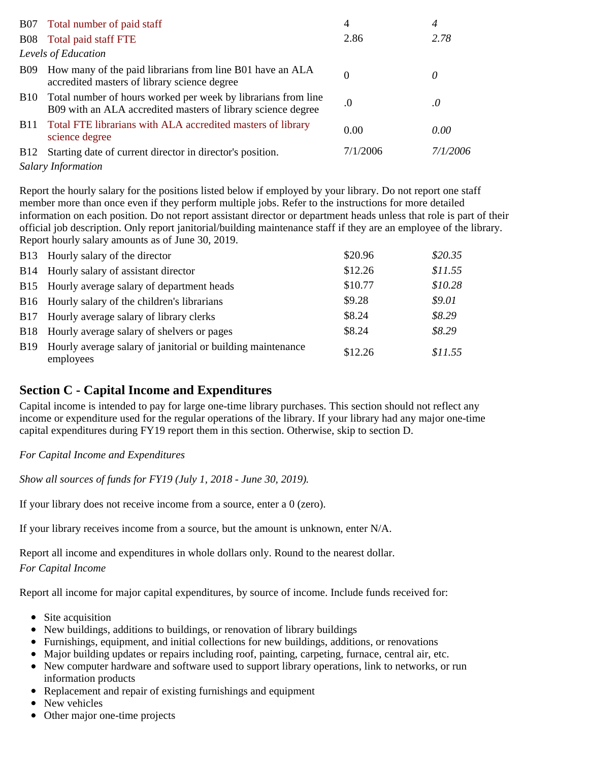|             | B07 Total number of paid staff                                                                                                    | 4        | 4         |
|-------------|-----------------------------------------------------------------------------------------------------------------------------------|----------|-----------|
|             | B08 Total paid staff FTE                                                                                                          | 2.86     | 2.78      |
|             | Levels of Education                                                                                                               |          |           |
| <b>B09</b>  | How many of the paid librarians from line B01 have an ALA<br>accredited masters of library science degree                         | $\Omega$ | 0         |
|             | B10 Total number of hours worked per week by librarians from line<br>B09 with an ALA accredited masters of library science degree | .0       | $\cdot$ 0 |
| B11         | Total FTE librarians with ALA accredited masters of library<br>science degree                                                     | 0.00     | 0.00      |
| <b>B</b> 12 | Starting date of current director in director's position.                                                                         | 7/1/2006 | 7/1/2006  |
|             | <b>Salary Information</b>                                                                                                         |          |           |

Report the hourly salary for the positions listed below if employed by your library. Do not report one staff member more than once even if they perform multiple jobs. Refer to the instructions for more detailed information on each position. Do not report assistant director or department heads unless that role is part of their official job description. Only report janitorial/building maintenance staff if they are an employee of the library. Report hourly salary amounts as of June 30, 2019.

|             | B13 Hourly salary of the director                                        | \$20.96 | \$20.35 |
|-------------|--------------------------------------------------------------------------|---------|---------|
|             | B14 Hourly salary of assistant director                                  | \$12.26 | \$11.55 |
|             | B15 Hourly average salary of department heads                            | \$10.77 | \$10.28 |
|             | B16 Hourly salary of the children's librarians                           | \$9.28  | \$9.01  |
| <b>B</b> 17 | Hourly average salary of library clerks                                  | \$8.24  | \$8.29  |
|             | B18 Hourly average salary of shelvers or pages                           | \$8.24  | \$8.29  |
| <b>B</b> 19 | Hourly average salary of janitorial or building maintenance<br>employees | \$12.26 | \$11.55 |

## **Section C - Capital Income and Expenditures**

Capital income is intended to pay for large one-time library purchases. This section should not reflect any income or expenditure used for the regular operations of the library. If your library had any major one-time capital expenditures during FY19 report them in this section. Otherwise, skip to section D.

#### *For Capital Income and Expenditures*

*Show all sources of funds for FY19 (July 1, 2018 - June 30, 2019).*

If your library does not receive income from a source, enter a 0 (zero).

If your library receives income from a source, but the amount is unknown, enter N/A.

Report all income and expenditures in whole dollars only. Round to the nearest dollar. *For Capital Income*

Report all income for major capital expenditures, by source of income. Include funds received for:

- Site acquisition
- New buildings, additions to buildings, or renovation of library buildings
- Furnishings, equipment, and initial collections for new buildings, additions, or renovations
- Major building updates or repairs including roof, painting, carpeting, furnace, central air, etc.
- New computer hardware and software used to support library operations, link to networks, or run information products
- Replacement and repair of existing furnishings and equipment
- New vehicles
- Other major one-time projects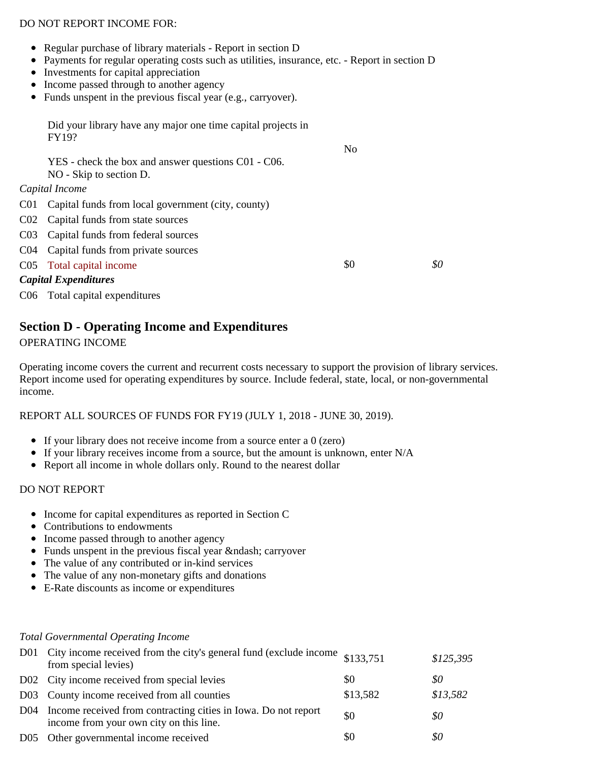#### DO NOT REPORT INCOME FOR:

- Regular purchase of library materials Report in section D
- Payments for regular operating costs such as utilities, insurance, etc. Report in section D
- Investments for capital appreciation
- Income passed through to another agency
- Funds unspent in the previous fiscal year (e.g., carryover).

 Did your library have any major one time capital projects in FY19? No YES - check the box and answer questions C01 - C06. NO - Skip to section D. *Capital Income* C01 Capital funds from local government (city, county) C02 Capital funds from state sources C03 Capital funds from federal sources C04 Capital funds from private sources C05 Total capital income \$0 \$0 \$0 *Capital Expenditures*

C06 Total capital expenditures

## **Section D - Operating Income and Expenditures**

#### OPERATING INCOME

Operating income covers the current and recurrent costs necessary to support the provision of library services. Report income used for operating expenditures by source. Include federal, state, local, or non-governmental income.

#### REPORT ALL SOURCES OF FUNDS FOR FY19 (JULY 1, 2018 - JUNE 30, 2019).

- If your library does not receive income from a source enter a 0 (zero)
- If your library receives income from a source, but the amount is unknown, enter  $N/A$
- Report all income in whole dollars only. Round to the nearest dollar

#### DO NOT REPORT

- Income for capital expenditures as reported in Section C
- Contributions to endowments
- Income passed through to another agency
- Funds unspent in the previous fiscal year & ndash; carryover
- The value of any contributed or in-kind services
- The value of any non-monetary gifts and donations
- E-Rate discounts as income or expenditures

#### *Total Governmental Operating Income*

| D01 City income received from the city's general fund (exclude income \$133,751)<br>from special levies)      |          | \$125,395 |
|---------------------------------------------------------------------------------------------------------------|----------|-----------|
| D02 City income received from special levies                                                                  | \$0      | 80        |
| D03 County income received from all counties                                                                  | \$13,582 | \$13,582  |
| D04 Income received from contracting cities in Iowa. Do not report<br>income from your own city on this line. | \$0      | \$0       |
| D05 Other governmental income received                                                                        | \$0      | \$0       |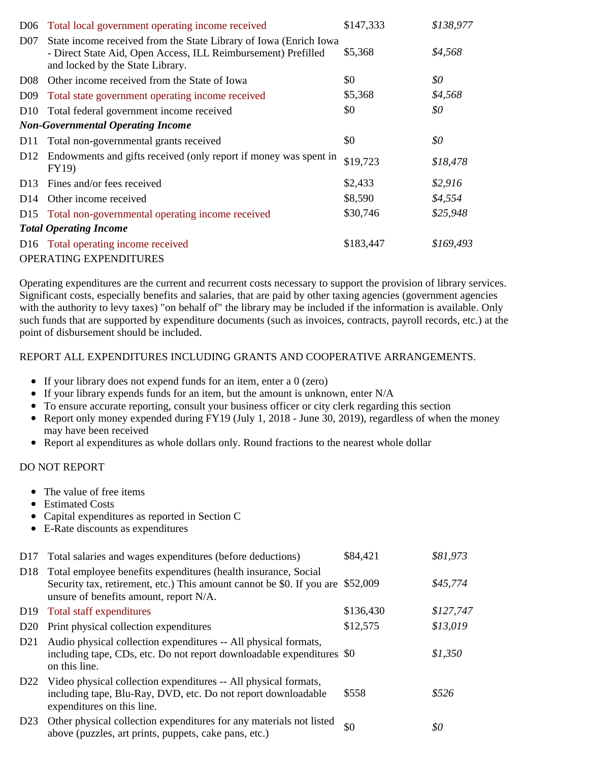| D <sub>06</sub>               | Total local government operating income received                                                                                                                        | \$147,333 | \$138,977 |  |
|-------------------------------|-------------------------------------------------------------------------------------------------------------------------------------------------------------------------|-----------|-----------|--|
| D <sub>07</sub>               | State income received from the State Library of Iowa (Enrich Iowa)<br>- Direct State Aid, Open Access, ILL Reimbursement) Prefilled<br>and locked by the State Library. | \$5,368   | \$4,568   |  |
| D <sub>08</sub>               | Other income received from the State of Iowa                                                                                                                            | \$0       | \$0       |  |
| D <sub>09</sub>               | Total state government operating income received                                                                                                                        | \$5,368   | \$4,568   |  |
| D <sub>10</sub>               | Total federal government income received                                                                                                                                | \$0       | \$0       |  |
|                               | <b>Non-Governmental Operating Income</b>                                                                                                                                |           |           |  |
| D <sub>11</sub>               | Total non-governmental grants received                                                                                                                                  | \$0       | \$0       |  |
| D <sub>12</sub>               | Endowments and gifts received (only report if money was spent in<br><b>FY19</b> )                                                                                       | \$19,723  | \$18,478  |  |
| D <sub>13</sub>               | Fines and/or fees received                                                                                                                                              | \$2,433   | \$2,916   |  |
| D <sub>14</sub>               | Other income received                                                                                                                                                   | \$8,590   | \$4,554   |  |
| D <sub>15</sub>               | Total non-governmental operating income received                                                                                                                        | \$30,746  | \$25,948  |  |
| <b>Total Operating Income</b> |                                                                                                                                                                         |           |           |  |
|                               | D16 Total operating income received                                                                                                                                     | \$183,447 | \$169,493 |  |
|                               | <b>OPERATING EXPENDITURES</b>                                                                                                                                           |           |           |  |

Operating expenditures are the current and recurrent costs necessary to support the provision of library services. Significant costs, especially benefits and salaries, that are paid by other taxing agencies (government agencies with the authority to levy taxes) "on behalf of" the library may be included if the information is available. Only such funds that are supported by expenditure documents (such as invoices, contracts, payroll records, etc.) at the point of disbursement should be included.

#### REPORT ALL EXPENDITURES INCLUDING GRANTS AND COOPERATIVE ARRANGEMENTS.

- If your library does not expend funds for an item, enter a 0 (zero)
- If your library expends funds for an item, but the amount is unknown, enter  $N/A$
- To ensure accurate reporting, consult your business officer or city clerk regarding this section
- Report only money expended during FY19 (July 1, 2018 June 30, 2019), regardless of when the money may have been received
- Report al expenditures as whole dollars only. Round fractions to the nearest whole dollar

#### DO NOT REPORT

- The value of free items
- Estimated Costs
- Capital expenditures as reported in Section C
- E-Rate discounts as expenditures

| D17             | Total salaries and wages expenditures (before deductions)                                                                                                                         | \$84,421  | \$81,973  |
|-----------------|-----------------------------------------------------------------------------------------------------------------------------------------------------------------------------------|-----------|-----------|
| D <sub>18</sub> | Total employee benefits expenditures (health insurance, Social<br>Security tax, retirement, etc.) This amount cannot be \$0. If you are<br>unsure of benefits amount, report N/A. | \$52,009  | \$45,774  |
| D <sub>19</sub> | Total staff expenditures                                                                                                                                                          | \$136,430 | \$127,747 |
| D20             | Print physical collection expenditures                                                                                                                                            | \$12,575  | \$13,019  |
| D21             | Audio physical collection expenditures -- All physical formats,<br>including tape, CDs, etc. Do not report downloadable expenditures \$0<br>on this line.                         |           | \$1,350   |
| D <sub>22</sub> | Video physical collection expenditures -- All physical formats,<br>including tape, Blu-Ray, DVD, etc. Do not report downloadable<br>expenditures on this line.                    | \$558     | \$526     |
| D23             | Other physical collection expenditures for any materials not listed<br>above (puzzles, art prints, puppets, cake pans, etc.)                                                      | \$0       | 80        |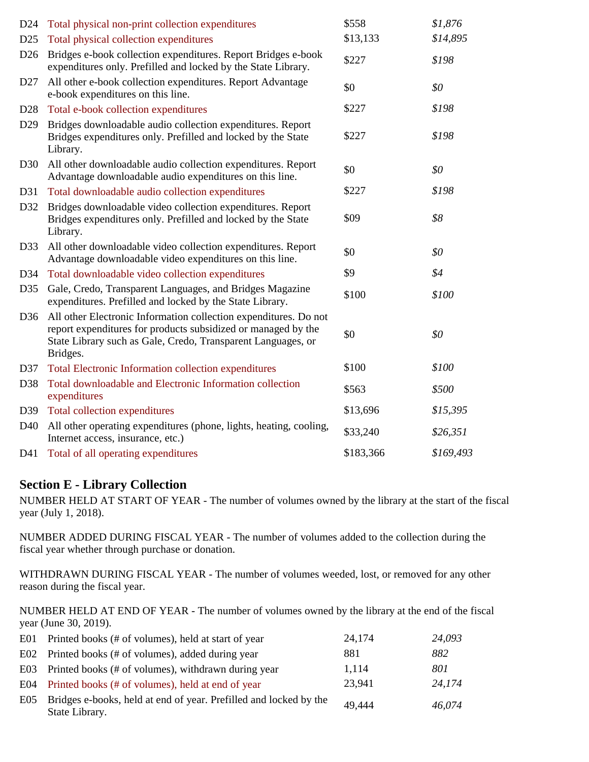| D24             | Total physical non-print collection expenditures                                                                                                                                                              | \$558     | \$1,876   |
|-----------------|---------------------------------------------------------------------------------------------------------------------------------------------------------------------------------------------------------------|-----------|-----------|
| D25             | Total physical collection expenditures                                                                                                                                                                        | \$13,133  | \$14,895  |
| D <sub>26</sub> | Bridges e-book collection expenditures. Report Bridges e-book<br>expenditures only. Prefilled and locked by the State Library.                                                                                | \$227     | \$198     |
| D27             | All other e-book collection expenditures. Report Advantage<br>e-book expenditures on this line.                                                                                                               | \$0       | \$0       |
| D <sub>28</sub> | Total e-book collection expenditures                                                                                                                                                                          | \$227     | \$198     |
| D <sub>29</sub> | Bridges downloadable audio collection expenditures. Report<br>Bridges expenditures only. Prefilled and locked by the State<br>Library.                                                                        | \$227     | \$198     |
| D <sub>30</sub> | All other downloadable audio collection expenditures. Report<br>Advantage downloadable audio expenditures on this line.                                                                                       | \$0       | \$0       |
| D31             | Total downloadable audio collection expenditures                                                                                                                                                              | \$227     | \$198     |
| D32             | Bridges downloadable video collection expenditures. Report<br>Bridges expenditures only. Prefilled and locked by the State<br>Library.                                                                        | \$09      | \$8       |
| D33             | All other downloadable video collection expenditures. Report<br>Advantage downloadable video expenditures on this line.                                                                                       | \$0       | \$0       |
| D34             | Total downloadable video collection expenditures                                                                                                                                                              | \$9       | \$4       |
| D35             | Gale, Credo, Transparent Languages, and Bridges Magazine<br>expenditures. Prefilled and locked by the State Library.                                                                                          | \$100     | \$100     |
| D36             | All other Electronic Information collection expenditures. Do not<br>report expenditures for products subsidized or managed by the<br>State Library such as Gale, Credo, Transparent Languages, or<br>Bridges. | \$0       | \$0       |
| D37             | Total Electronic Information collection expenditures                                                                                                                                                          | \$100     | \$100     |
| D38             | Total downloadable and Electronic Information collection<br>expenditures                                                                                                                                      | \$563     | \$500     |
| D39             | Total collection expenditures                                                                                                                                                                                 | \$13,696  | \$15,395  |
| D40             | All other operating expenditures (phone, lights, heating, cooling,<br>Internet access, insurance, etc.)                                                                                                       | \$33,240  | \$26,351  |
| D41             | Total of all operating expenditures                                                                                                                                                                           | \$183,366 | \$169,493 |

## **Section E - Library Collection**

NUMBER HELD AT START OF YEAR - The number of volumes owned by the library at the start of the fiscal year (July 1, 2018).

NUMBER ADDED DURING FISCAL YEAR - The number of volumes added to the collection during the fiscal year whether through purchase or donation.

WITHDRAWN DURING FISCAL YEAR - The number of volumes weeded, lost, or removed for any other reason during the fiscal year.

NUMBER HELD AT END OF YEAR - The number of volumes owned by the library at the end of the fiscal year (June 30, 2019).

|     | E01 Printed books (# of volumes), held at start of year                             | 24,174 | 24,093 |
|-----|-------------------------------------------------------------------------------------|--------|--------|
|     | E02 Printed books (# of volumes), added during year                                 | 881    | 882    |
|     | E03 Printed books (# of volumes), withdrawn during year                             | 1,114  | 801    |
|     | E04 Printed books (# of volumes), held at end of year                               | 23,941 | 24,174 |
| E05 | Bridges e-books, held at end of year. Prefilled and locked by the<br>State Library. | 49.444 | 46,074 |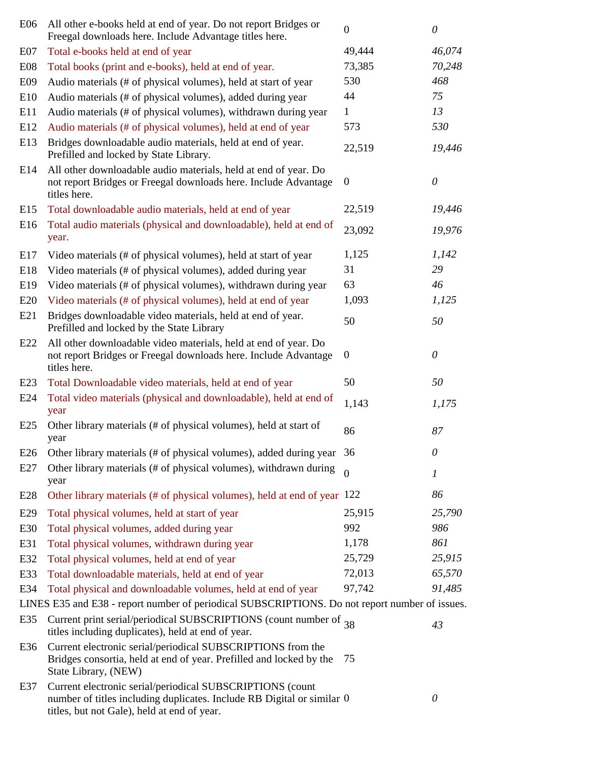| E06        | All other e-books held at end of year. Do not report Bridges or<br>Freegal downloads here. Include Advantage titles here.                                                          | $\boldsymbol{0}$ | $\theta$         |
|------------|------------------------------------------------------------------------------------------------------------------------------------------------------------------------------------|------------------|------------------|
| E07        | Total e-books held at end of year                                                                                                                                                  | 49,444           | 46,074           |
| <b>E08</b> | Total books (print and e-books), held at end of year.                                                                                                                              | 73,385           | 70,248           |
| E09        | Audio materials (# of physical volumes), held at start of year                                                                                                                     | 530              | 468              |
| E10        | Audio materials (# of physical volumes), added during year                                                                                                                         | 44               | 75               |
| E11        | Audio materials (# of physical volumes), withdrawn during year                                                                                                                     | $\mathbf{1}$     | 13               |
| E12        | Audio materials (# of physical volumes), held at end of year                                                                                                                       | 573              | 530              |
| E13        | Bridges downloadable audio materials, held at end of year.<br>Prefilled and locked by State Library.                                                                               | 22,519           | 19,446           |
| E14        | All other downloadable audio materials, held at end of year. Do<br>not report Bridges or Freegal downloads here. Include Advantage<br>titles here.                                 | $\overline{0}$   | $\theta$         |
| E15        | Total downloadable audio materials, held at end of year                                                                                                                            | 22,519           | 19,446           |
| E16        | Total audio materials (physical and downloadable), held at end of<br>year.                                                                                                         | 23,092           | 19,976           |
| E17        | Video materials (# of physical volumes), held at start of year                                                                                                                     | 1,125            | 1,142            |
| E18        | Video materials (# of physical volumes), added during year                                                                                                                         | 31               | 29               |
| E19        | Video materials (# of physical volumes), withdrawn during year                                                                                                                     | 63               | 46               |
| E20        | Video materials (# of physical volumes), held at end of year                                                                                                                       | 1,093            | 1,125            |
| E21        | Bridges downloadable video materials, held at end of year.<br>Prefilled and locked by the State Library                                                                            | 50               | 50               |
| E22        | All other downloadable video materials, held at end of year. Do<br>not report Bridges or Freegal downloads here. Include Advantage<br>titles here.                                 | $\overline{0}$   | $\theta$         |
| E23        | Total Downloadable video materials, held at end of year                                                                                                                            | 50               | 50               |
| E24        | Total video materials (physical and downloadable), held at end of<br>year                                                                                                          | 1,143            | 1,175            |
| E25        | Other library materials (# of physical volumes), held at start of<br>year                                                                                                          | 86               | 87               |
| E26        | Other library materials (# of physical volumes), added during year                                                                                                                 | 36               | $\theta$         |
| E27        | Other library materials (# of physical volumes), withdrawn during<br>year                                                                                                          | $\theta$         | $\boldsymbol{l}$ |
| E28        | Other library materials (# of physical volumes), held at end of year 122                                                                                                           |                  | 86               |
| E29        | Total physical volumes, held at start of year                                                                                                                                      | 25,915           | 25,790           |
| E30        | Total physical volumes, added during year                                                                                                                                          | 992              | 986              |
| E31        | Total physical volumes, withdrawn during year                                                                                                                                      | 1,178            | 861              |
| E32        | Total physical volumes, held at end of year                                                                                                                                        | 25,729           | 25,915           |
| E33        | Total downloadable materials, held at end of year                                                                                                                                  | 72,013           | 65,570           |
| E34        | Total physical and downloadable volumes, held at end of year                                                                                                                       | 97,742           | 91,485           |
|            | LINES E35 and E38 - report number of periodical SUBSCRIPTIONS. Do not report number of issues.                                                                                     |                  |                  |
| E35        | Current print serial/periodical SUBSCRIPTIONS (count number of 38<br>titles including duplicates), held at end of year.                                                            |                  | 43               |
| E36        | Current electronic serial/periodical SUBSCRIPTIONS from the<br>Bridges consortia, held at end of year. Prefilled and locked by the<br>State Library, (NEW)                         | 75               |                  |
| E37        | Current electronic serial/periodical SUBSCRIPTIONS (count<br>number of titles including duplicates. Include RB Digital or similar 0<br>titles, but not Gale), held at end of year. |                  | $\theta$         |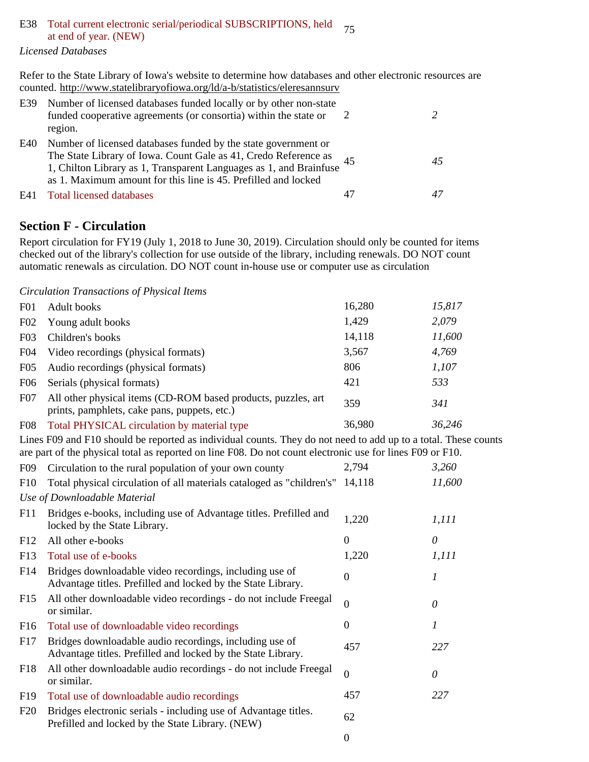# E38 Total current electronic serial/periodical SUBSCRIPTIONS, held at end of year. (NEW)

*Licensed Databases*

Refer to the State Library of Iowa's website to determine how databases and other electronic resources are counted. http://www.statelibraryofiowa.org/ld/a-b/statistics/eleresannsurv

|     | E39 Number of licensed databases funded locally or by other non-state<br>funded cooperative agreements (or consortia) within the state or<br>region.                                                                                                                      |    |  |
|-----|---------------------------------------------------------------------------------------------------------------------------------------------------------------------------------------------------------------------------------------------------------------------------|----|--|
| E40 | Number of licensed databases funded by the state government or<br>The State Library of Iowa. Count Gale as 41, Credo Reference as<br>1, Chilton Library as 1, Transparent Languages as 1, and Brainfuse<br>as 1. Maximum amount for this line is 45. Prefilled and locked | 45 |  |
| E41 | Total licensed databases                                                                                                                                                                                                                                                  | 47 |  |

## **Section F - Circulation**

Report circulation for FY19 (July 1, 2018 to June 30, 2019). Circulation should only be counted for items checked out of the library's collection for use outside of the library, including renewals. DO NOT count automatic renewals as circulation. DO NOT count in-house use or computer use as circulation

*Circulation Transactions of Physical Items*

| F <sub>01</sub> | Adult books                                                                                                   | 16,280 | 15,817 |
|-----------------|---------------------------------------------------------------------------------------------------------------|--------|--------|
| F02             | Young adult books                                                                                             | 1,429  | 2,079  |
| F03             | Children's books                                                                                              | 14,118 | 11,600 |
| F <sub>04</sub> | Video recordings (physical formats)                                                                           | 3,567  | 4,769  |
| F <sub>05</sub> | Audio recordings (physical formats)                                                                           | 806    | 1,107  |
| F <sub>06</sub> | Serials (physical formats)                                                                                    | 421    | 533    |
| F07             | All other physical items (CD-ROM based products, puzzles, art<br>prints, pamphlets, cake pans, puppets, etc.) | 359    | 341    |
| F <sub>08</sub> | Total PHYSICAL circulation by material type                                                                   | 36,980 | 36,246 |

Lines F09 and F10 should be reported as individual counts. They do not need to add up to a total. These counts are part of the physical total as reported on line F08. Do not count electronic use for lines F09 or F10.

| F <sub>09</sub> | Circulation to the rural population of your own county                                                                  | 2,794            | 3,260  |
|-----------------|-------------------------------------------------------------------------------------------------------------------------|------------------|--------|
| F10             | Total physical circulation of all materials cataloged as "children's"                                                   | 14,118           | 11,600 |
|                 | Use of Downloadable Material                                                                                            |                  |        |
| F11             | Bridges e-books, including use of Advantage titles. Prefilled and<br>locked by the State Library.                       | 1,220            | 1,111  |
| F <sub>12</sub> | All other e-books                                                                                                       | $\overline{0}$   | 0      |
| F13             | Total use of e-books                                                                                                    | 1,220            | 1,111  |
| F14             | Bridges downloadable video recordings, including use of<br>Advantage titles. Prefilled and locked by the State Library. | 0                | 1      |
| F <sub>15</sub> | All other downloadable video recordings - do not include Freegal<br>or similar.                                         | $\theta$         | 0      |
| F16             | Total use of downloadable video recordings                                                                              | $\Omega$         | 1      |
| F17             | Bridges downloadable audio recordings, including use of<br>Advantage titles. Prefilled and locked by the State Library. | 457              | 227    |
| F18             | All other downloadable audio recordings - do not include Freegal<br>or similar.                                         | $\overline{0}$   | 0      |
| F <sub>19</sub> | Total use of downloadable audio recordings                                                                              | 457              | 227    |
| F20             | Bridges electronic serials - including use of Advantage titles.<br>Prefilled and locked by the State Library. (NEW)     | 62               |        |
|                 |                                                                                                                         | $\boldsymbol{0}$ |        |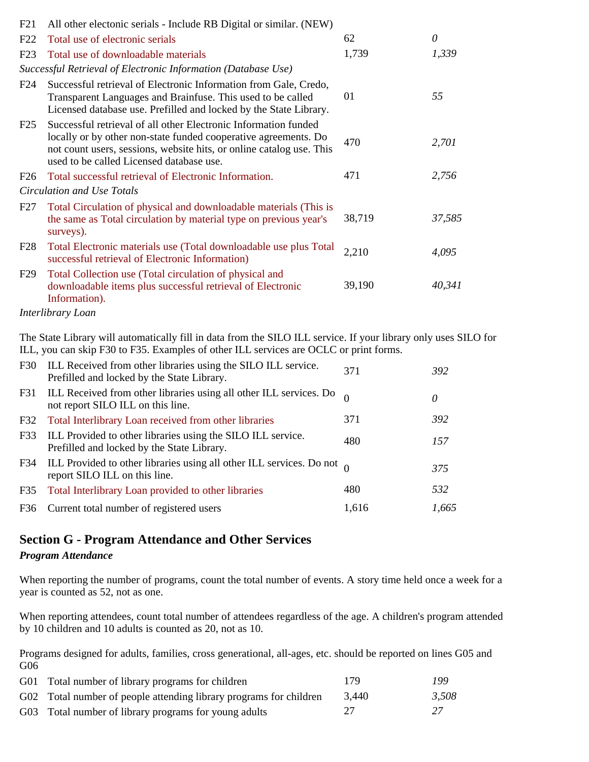| F21                       | All other electonic serials - Include RB Digital or similar. (NEW)                                                                                                                                                                                     |        |        |  |
|---------------------------|--------------------------------------------------------------------------------------------------------------------------------------------------------------------------------------------------------------------------------------------------------|--------|--------|--|
| F22                       | Total use of electronic serials                                                                                                                                                                                                                        | 62     | 0      |  |
| F23                       | Total use of downloadable materials                                                                                                                                                                                                                    | 1,739  | 1,339  |  |
|                           | Successful Retrieval of Electronic Information (Database Use)                                                                                                                                                                                          |        |        |  |
| F <sub>24</sub>           | Successful retrieval of Electronic Information from Gale, Credo,<br>Transparent Languages and Brainfuse. This used to be called<br>Licensed database use. Prefilled and locked by the State Library.                                                   | 01     | 55     |  |
| F25                       | Successful retrieval of all other Electronic Information funded<br>locally or by other non-state funded cooperative agreements. Do<br>not count users, sessions, website hits, or online catalog use. This<br>used to be called Licensed database use. | 470    | 2,701  |  |
| F <sub>26</sub>           | Total successful retrieval of Electronic Information.                                                                                                                                                                                                  | 471    | 2,756  |  |
|                           | Circulation and Use Totals                                                                                                                                                                                                                             |        |        |  |
| F <sub>27</sub>           | Total Circulation of physical and downloadable materials (This is<br>the same as Total circulation by material type on previous year's<br>surveys).                                                                                                    | 38,719 | 37,585 |  |
| F28                       | Total Electronic materials use (Total downloadable use plus Total<br>successful retrieval of Electronic Information)                                                                                                                                   | 2,210  | 4,095  |  |
| F29                       | Total Collection use (Total circulation of physical and<br>downloadable items plus successful retrieval of Electronic<br>Information).                                                                                                                 | 39,190 | 40,341 |  |
| $\mathbf{r}$ $\mathbf{r}$ |                                                                                                                                                                                                                                                        |        |        |  |

#### *Interlibrary Loan*

The State Library will automatically fill in data from the SILO ILL service. If your library only uses SILO for ILL, you can skip F30 to F35. Examples of other ILL services are OCLC or print forms.

|                                                                                                                         |       | $\theta$ |
|-------------------------------------------------------------------------------------------------------------------------|-------|----------|
| F31 ILL Received from other libraries using all other ILL services. Do<br>not report SILO ILL on this line.             |       |          |
| 371<br>Total Interlibrary Loan received from other libraries<br>F32                                                     |       | 392      |
| ILL Provided to other libraries using the SILO ILL service.<br>F33<br>480<br>Prefilled and locked by the State Library. |       | 157      |
| F34 ILL Provided to other libraries using all other ILL services. Do not $\theta$<br>report SILO ILL on this line.      |       | 375      |
| 480<br>Total Interlibrary Loan provided to other libraries<br>F35                                                       |       | 532      |
| F36 Current total number of registered users                                                                            | 1,616 | 1,665    |

## **Section G - Program Attendance and Other Services**

#### *Program Attendance*

When reporting the number of programs, count the total number of events. A story time held once a week for a year is counted as 52, not as one.

When reporting attendees, count total number of attendees regardless of the age. A children's program attended by 10 children and 10 adults is counted as 20, not as 10.

Programs designed for adults, families, cross generational, all-ages, etc. should be reported on lines G05 and G06

| G01 Total number of library programs for children                  | 179   | 199   |
|--------------------------------------------------------------------|-------|-------|
| G02 Total number of people attending library programs for children | 3.440 | 3,508 |
| G03 Total number of library programs for young adults              | 27    | 27    |